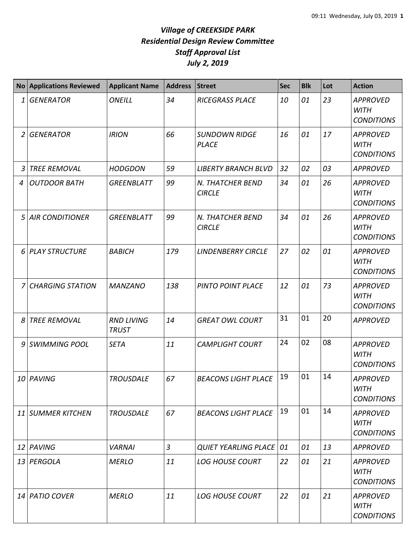|    | <b>No Applications Reviewed</b> | <b>Applicant Name</b>             | <b>Address</b> | <b>Street</b>                        | <b>Sec</b> | <b>Blk</b> | Lot | <b>Action</b>                                       |
|----|---------------------------------|-----------------------------------|----------------|--------------------------------------|------------|------------|-----|-----------------------------------------------------|
| 1  | <b>GENERATOR</b>                | <b>ONEILL</b>                     | 34             | <b>RICEGRASS PLACE</b>               | 10         | 01         | 23  | <b>APPROVED</b><br><b>WITH</b><br><b>CONDITIONS</b> |
| 2  | <b>GENERATOR</b>                | <b>IRION</b>                      | 66             | <b>SUNDOWN RIDGE</b><br><b>PLACE</b> | 16         | 01         | 17  | <b>APPROVED</b><br><b>WITH</b><br><b>CONDITIONS</b> |
| 3  | <b>TREE REMOVAL</b>             | <b>HODGDON</b>                    | 59             | <b>LIBERTY BRANCH BLVD</b>           | 32         | 02         | 03  | <b>APPROVED</b>                                     |
| 4  | <b>OUTDOOR BATH</b>             | <b>GREENBLATT</b>                 | 99             | N. THATCHER BEND<br><b>CIRCLE</b>    | 34         | 01         | 26  | <b>APPROVED</b><br><b>WITH</b><br><b>CONDITIONS</b> |
| 5  | <b>AIR CONDITIONER</b>          | <b>GREENBLATT</b>                 | 99             | N. THATCHER BEND<br><b>CIRCLE</b>    | 34         | 01         | 26  | <b>APPROVED</b><br><b>WITH</b><br><b>CONDITIONS</b> |
| 6  | <b>PLAY STRUCTURE</b>           | <b>BABICH</b>                     | 179            | <b>LINDENBERRY CIRCLE</b>            | 27         | 02         | 01  | <b>APPROVED</b><br><b>WITH</b><br><b>CONDITIONS</b> |
| 7  | <b>CHARGING STATION</b>         | <b>MANZANO</b>                    | 138            | PINTO POINT PLACE                    | 12         | 01         | 73  | <b>APPROVED</b><br><b>WITH</b><br><b>CONDITIONS</b> |
| 8  | <b>TREE REMOVAL</b>             | <b>RND LIVING</b><br><b>TRUST</b> | 14             | <b>GREAT OWL COURT</b>               | 31         | 01         | 20  | <b>APPROVED</b>                                     |
| 9  | <b>SWIMMING POOL</b>            | <b>SETA</b>                       | 11             | <b>CAMPLIGHT COURT</b>               | 24         | 02         | 08  | <b>APPROVED</b><br><b>WITH</b><br><b>CONDITIONS</b> |
| 10 | PAVING                          | <b>TROUSDALE</b>                  | 67             | <b>BEACONS LIGHT PLACE</b>           | 19         | 01         | 14  | <b>APPROVED</b><br><b>WITH</b><br><b>CONDITIONS</b> |
| 11 | SUMMER KITCHEN                  | <b>TROUSDALE</b>                  | 67             | <b>BEACONS LIGHT PLACE</b>           | 19         | 01         | 14  | <b>APPROVED</b><br><b>WITH</b><br><b>CONDITIONS</b> |
|    | 12 PAVING                       | <b>VARNAI</b>                     | $\mathfrak{Z}$ | <b>QUIET YEARLING PLACE</b>          | 01         | 01         | 13  | <b>APPROVED</b>                                     |
|    | 13 PERGOLA                      | <b>MERLO</b>                      | 11             | <b>LOG HOUSE COURT</b>               | 22         | 01         | 21  | <b>APPROVED</b><br><b>WITH</b><br><b>CONDITIONS</b> |
|    | 14 PATIO COVER                  | <b>MERLO</b>                      | 11             | <b>LOG HOUSE COURT</b>               | 22         | 01         | 21  | <b>APPROVED</b><br><b>WITH</b><br><b>CONDITIONS</b> |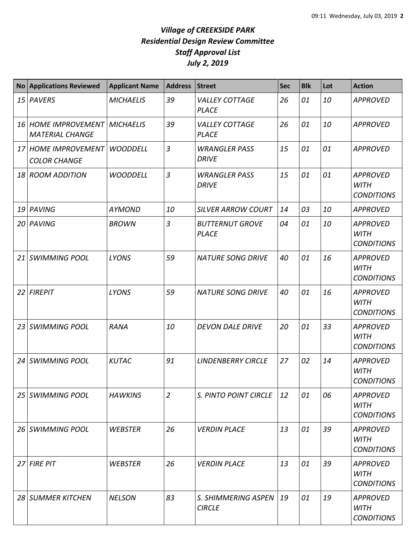| <b>No</b>       | <b>Applications Reviewed</b>                            | <b>Applicant Name</b> | <b>Address</b> | <b>Street</b>                          | <b>Sec</b> | <b>Blk</b> | Lot | <b>Action</b>                                       |
|-----------------|---------------------------------------------------------|-----------------------|----------------|----------------------------------------|------------|------------|-----|-----------------------------------------------------|
|                 | 15 PAVERS                                               | <b>MICHAELIS</b>      | 39             | <b>VALLEY COTTAGE</b><br><b>PLACE</b>  | 26         | 01         | 10  | <b>APPROVED</b>                                     |
|                 | 16 HOME IMPROVEMENT MICHAELIS<br><b>MATERIAL CHANGE</b> |                       | 39             | <b>VALLEY COTTAGE</b><br><b>PLACE</b>  | 26         | 01         | 10  | <b>APPROVED</b>                                     |
|                 | 17 HOME IMPROVEMENT<br><b>COLOR CHANGE</b>              | <b>WOODDELL</b>       | $\overline{3}$ | <b>WRANGLER PASS</b><br><b>DRIVE</b>   | 15         | 01         | 01  | <b>APPROVED</b>                                     |
| 18              | <b>ROOM ADDITION</b>                                    | <b>WOODDELL</b>       | $\mathfrak{Z}$ | <b>WRANGLER PASS</b><br><b>DRIVE</b>   | 15         | 01         | 01  | <b>APPROVED</b><br><b>WITH</b><br><b>CONDITIONS</b> |
| 19              | PAVING                                                  | <b>AYMOND</b>         | 10             | <b>SILVER ARROW COURT</b>              | 14         | 03         | 10  | <b>APPROVED</b>                                     |
| 20 l            | PAVING                                                  | <b>BROWN</b>          | $\overline{3}$ | <b>BUTTERNUT GROVE</b><br><b>PLACE</b> | 04         | 01         | 10  | <b>APPROVED</b><br><b>WITH</b><br><b>CONDITIONS</b> |
| 21              | <b>SWIMMING POOL</b>                                    | <b>LYONS</b>          | 59             | <b>NATURE SONG DRIVE</b>               | 40         | 01         | 16  | <b>APPROVED</b><br><b>WITH</b><br><b>CONDITIONS</b> |
| 22              | <b>FIREPIT</b>                                          | <b>LYONS</b>          | 59             | <b>NATURE SONG DRIVE</b>               | 40         | 01         | 16  | <b>APPROVED</b><br><b>WITH</b><br><b>CONDITIONS</b> |
| 23              | <b>SWIMMING POOL</b>                                    | <b>RANA</b>           | 10             | <b>DEVON DALE DRIVE</b>                | 20         | 01         | 33  | <b>APPROVED</b><br><b>WITH</b><br><b>CONDITIONS</b> |
| 24 I            | <b>SWIMMING POOL</b>                                    | <b>KUTAC</b>          | 91             | <b>LINDENBERRY CIRCLE</b>              | 27         | 02         | 14  | <b>APPROVED</b><br><b>WITH</b><br><b>CONDITIONS</b> |
| 25 <sup>1</sup> | <b>SWIMMING POOL</b>                                    | <b>HAWKINS</b>        | $\overline{2}$ | S. PINTO POINT CIRCLE                  | 12         | 01         | 06  | <b>APPROVED</b><br><b>WITH</b><br><b>CONDITIONS</b> |
|                 | 26 SWIMMING POOL                                        | <b>WEBSTER</b>        | 26             | <b>VERDIN PLACE</b>                    | 13         | 01         | 39  | <b>APPROVED</b><br><b>WITH</b><br><b>CONDITIONS</b> |
|                 | 27 FIRE PIT                                             | <b>WEBSTER</b>        | 26             | <b>VERDIN PLACE</b>                    | 13         | 01         | 39  | <b>APPROVED</b><br>WITH<br><b>CONDITIONS</b>        |
|                 | 28 SUMMER KITCHEN                                       | <b>NELSON</b>         | 83             | S. SHIMMERING ASPEN<br><b>CIRCLE</b>   | 19         | 01         | 19  | <b>APPROVED</b><br><b>WITH</b><br><b>CONDITIONS</b> |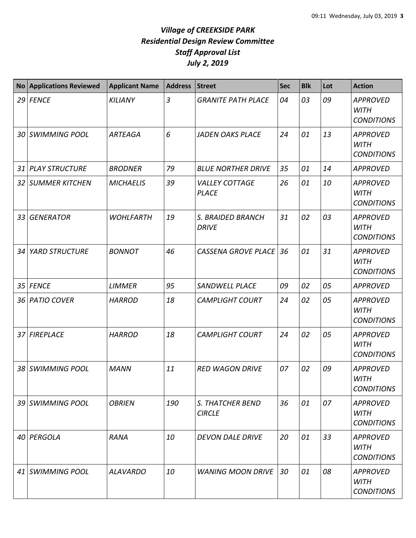|    | <b>No Applications Reviewed</b> | <b>Applicant Name</b> | <b>Address</b> | <b>Street</b>                            | <b>Sec</b> | <b>Blk</b> | Lot | <b>Action</b>                                       |
|----|---------------------------------|-----------------------|----------------|------------------------------------------|------------|------------|-----|-----------------------------------------------------|
|    | 29 FENCE                        | <b>KILIANY</b>        | $\overline{3}$ | <b>GRANITE PATH PLACE</b>                | 04         | 03         | 09  | <b>APPROVED</b><br><b>WITH</b><br><b>CONDITIONS</b> |
| 30 | SWIMMING POOL                   | <b>ARTEAGA</b>        | 6              | <b>JADEN OAKS PLACE</b>                  | 24         | 01         | 13  | <b>APPROVED</b><br><b>WITH</b><br><b>CONDITIONS</b> |
| 31 | <b>PLAY STRUCTURE</b>           | <b>BRODNER</b>        | 79             | <b>BLUE NORTHER DRIVE</b>                | 35         | 01         | 14  | <b>APPROVED</b>                                     |
| 32 | <b>SUMMER KITCHEN</b>           | <b>MICHAELIS</b>      | 39             | <b>VALLEY COTTAGE</b><br><b>PLACE</b>    | 26         | 01         | 10  | <b>APPROVED</b><br><b>WITH</b><br><b>CONDITIONS</b> |
| 33 | <b>GENERATOR</b>                | <b>WOHLFARTH</b>      | 19             | S. BRAIDED BRANCH<br><b>DRIVE</b>        | 31         | 02         | 03  | <b>APPROVED</b><br><b>WITH</b><br><b>CONDITIONS</b> |
| 34 | <b>YARD STRUCTURE</b>           | <b>BONNOT</b>         | 46             | <b>CASSENA GROVE PLACE</b>               | 36         | 01         | 31  | <b>APPROVED</b><br><b>WITH</b><br><b>CONDITIONS</b> |
| 35 | <b>FENCE</b>                    | <b>LIMMER</b>         | 95             | SANDWELL PLACE                           | 09         | 02         | 05  | <b>APPROVED</b>                                     |
| 36 | <b>PATIO COVER</b>              | <b>HARROD</b>         | 18             | <b>CAMPLIGHT COURT</b>                   | 24         | 02         | 05  | <b>APPROVED</b><br><b>WITH</b><br><b>CONDITIONS</b> |
| 37 | <b>FIREPLACE</b>                | <b>HARROD</b>         | 18             | <b>CAMPLIGHT COURT</b>                   | 24         | 02         | 05  | <b>APPROVED</b><br><b>WITH</b><br><b>CONDITIONS</b> |
| 38 | <b>SWIMMING POOL</b>            | <b>MANN</b>           | 11             | <b>RED WAGON DRIVE</b>                   | 07         | 02         | 09  | <b>APPROVED</b><br><b>WITH</b><br><b>CONDITIONS</b> |
|    | 39 SWIMMING POOL                | <b>OBRIEN</b>         | 190            | <b>S. THATCHER BEND</b><br><b>CIRCLE</b> | 36         | 01         | 07  | <b>APPROVED</b><br><b>WITH</b><br><b>CONDITIONS</b> |
|    | 40 PERGOLA                      | <b>RANA</b>           | 10             | <b>DEVON DALE DRIVE</b>                  | 20         | 01         | 33  | <b>APPROVED</b><br><b>WITH</b><br><b>CONDITIONS</b> |
|    | 41 SWIMMING POOL                | <b>ALAVARDO</b>       | 10             | <b>WANING MOON DRIVE</b>                 | 30         | 01         | 08  | <b>APPROVED</b><br><b>WITH</b><br><b>CONDITIONS</b> |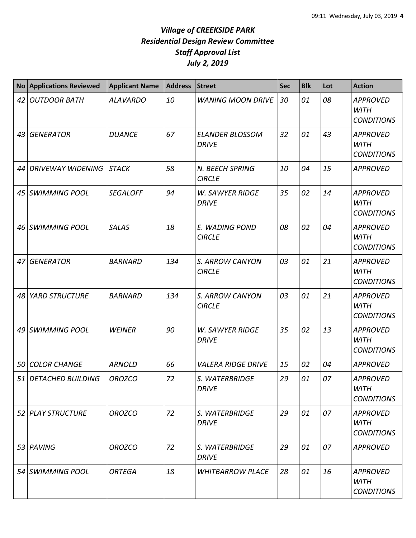| <b>No</b> | <b>Applications Reviewed</b> | <b>Applicant Name</b> | <b>Address</b> | <b>Street</b>                          | <b>Sec</b> | <b>Blk</b> | Lot | <b>Action</b>                                       |
|-----------|------------------------------|-----------------------|----------------|----------------------------------------|------------|------------|-----|-----------------------------------------------------|
| 42        | <b>OUTDOOR BATH</b>          | <b>ALAVARDO</b>       | 10             | <b>WANING MOON DRIVE</b>               | 30         | 01         | 08  | <b>APPROVED</b><br><b>WITH</b><br><b>CONDITIONS</b> |
| 43        | <b>GENERATOR</b>             | <b>DUANCE</b>         | 67             | <b>ELANDER BLOSSOM</b><br><b>DRIVE</b> | 32         | 01         | 43  | <b>APPROVED</b><br><b>WITH</b><br><b>CONDITIONS</b> |
| 44        | <b>DRIVEWAY WIDENING</b>     | <b>STACK</b>          | 58             | N. BEECH SPRING<br><b>CIRCLE</b>       | 10         | 04         | 15  | <b>APPROVED</b>                                     |
| 45        | <b>SWIMMING POOL</b>         | <b>SEGALOFF</b>       | 94             | <b>W. SAWYER RIDGE</b><br><b>DRIVE</b> | 35         | 02         | 14  | <b>APPROVED</b><br><b>WITH</b><br><b>CONDITIONS</b> |
| 46        | <b>SWIMMING POOL</b>         | <b>SALAS</b>          | 18             | E. WADING POND<br><b>CIRCLE</b>        | 08         | 02         | 04  | <b>APPROVED</b><br><b>WITH</b><br><b>CONDITIONS</b> |
| 47        | <b>GENERATOR</b>             | <b>BARNARD</b>        | 134            | S. ARROW CANYON<br><b>CIRCLE</b>       | 03         | 01         | 21  | <b>APPROVED</b><br><b>WITH</b><br><b>CONDITIONS</b> |
| 48        | <b>YARD STRUCTURE</b>        | <b>BARNARD</b>        | 134            | S. ARROW CANYON<br><b>CIRCLE</b>       | 03         | 01         | 21  | <b>APPROVED</b><br><b>WITH</b><br><b>CONDITIONS</b> |
| 49        | <b>SWIMMING POOL</b>         | <b>WEINER</b>         | 90             | <b>W. SAWYER RIDGE</b><br><b>DRIVE</b> | 35         | 02         | 13  | <b>APPROVED</b><br><b>WITH</b><br><b>CONDITIONS</b> |
| 50        | <b>COLOR CHANGE</b>          | <b>ARNOLD</b>         | 66             | <b>VALERA RIDGE DRIVE</b>              | 15         | 02         | 04  | <b>APPROVED</b>                                     |
| 51        | <b>DETACHED BUILDING</b>     | <b>OROZCO</b>         | 72             | S. WATERBRIDGE<br><b>DRIVE</b>         | 29         | 01         | 07  | <b>APPROVED</b><br><b>WITH</b><br><b>CONDITIONS</b> |
|           | 52 PLAY STRUCTURE            | <b>OROZCO</b>         | 72             | S. WATERBRIDGE<br><b>DRIVE</b>         | 29         | 01         | 07  | <b>APPROVED</b><br><b>WITH</b><br><b>CONDITIONS</b> |
|           | 53 PAVING                    | <b>OROZCO</b>         | 72             | S. WATERBRIDGE<br><b>DRIVE</b>         | 29         | 01         | 07  | <b>APPROVED</b>                                     |
|           | 54 SWIMMING POOL             | <b>ORTEGA</b>         | 18             | <b>WHITBARROW PLACE</b>                | 28         | 01         | 16  | <b>APPROVED</b><br><b>WITH</b><br><b>CONDITIONS</b> |